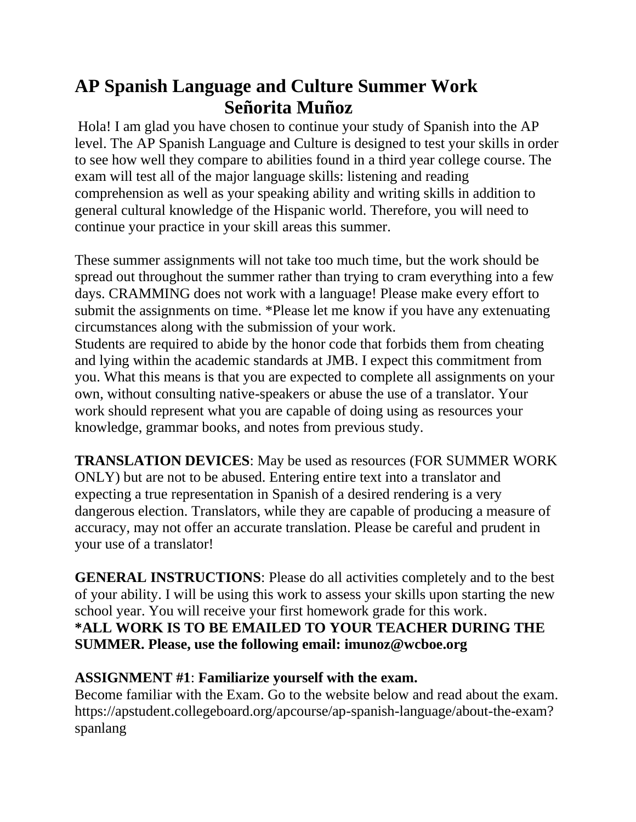# **AP Spanish Language and Culture Summer Work Señorita Muñoz**

Hola! I am glad you have chosen to continue your study of Spanish into the AP level. The AP Spanish Language and Culture is designed to test your skills in order to see how well they compare to abilities found in a third year college course. The exam will test all of the major language skills: listening and reading comprehension as well as your speaking ability and writing skills in addition to general cultural knowledge of the Hispanic world. Therefore, you will need to continue your practice in your skill areas this summer.

These summer assignments will not take too much time, but the work should be spread out throughout the summer rather than trying to cram everything into a few days. CRAMMING does not work with a language! Please make every effort to submit the assignments on time. \*Please let me know if you have any extenuating circumstances along with the submission of your work. Students are required to abide by the honor code that forbids them from cheating and lying within the academic standards at JMB. I expect this commitment from you. What this means is that you are expected to complete all assignments on your

own, without consulting native-speakers or abuse the use of a translator. Your work should represent what you are capable of doing using as resources your knowledge, grammar books, and notes from previous study.

**TRANSLATION DEVICES**: May be used as resources (FOR SUMMER WORK ONLY) but are not to be abused. Entering entire text into a translator and expecting a true representation in Spanish of a desired rendering is a very dangerous election. Translators, while they are capable of producing a measure of accuracy, may not offer an accurate translation. Please be careful and prudent in your use of a translator!

**GENERAL INSTRUCTIONS**: Please do all activities completely and to the best of your ability. I will be using this work to assess your skills upon starting the new school year. You will receive your first homework grade for this work. **\*ALL WORK IS TO BE EMAILED TO YOUR TEACHER DURING THE SUMMER. Please, use the following email: imunoz@wcboe.org**

#### **ASSIGNMENT #1**: **Familiarize yourself with the exam.**

Become familiar with the Exam. Go to the website below and read about the exam. https://apstudent.collegeboard.org/apcourse/ap-spanish-language/about-the-exam? spanlang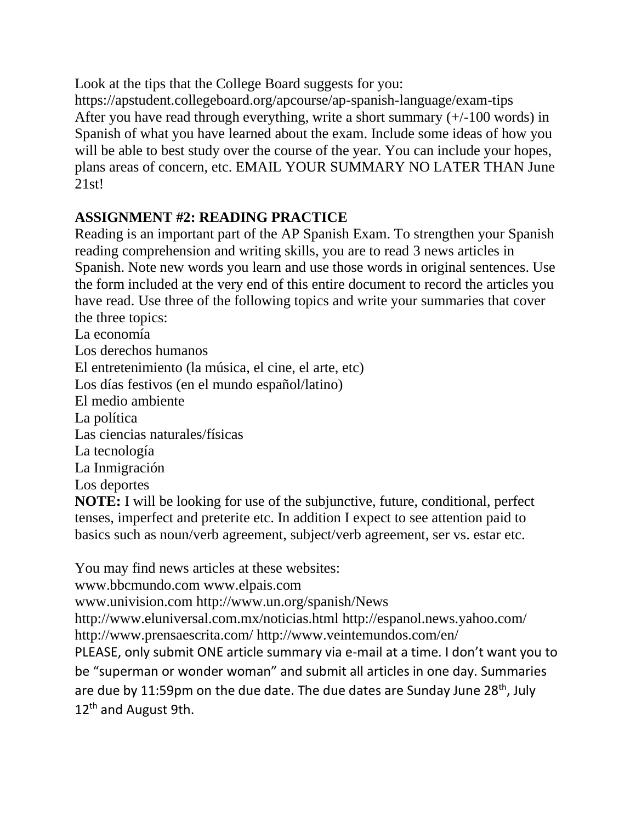Look at the tips that the College Board suggests for you: https://apstudent.collegeboard.org/apcourse/ap-spanish-language/exam-tips After you have read through everything, write a short summary (+/-100 words) in Spanish of what you have learned about the exam. Include some ideas of how you will be able to best study over the course of the year. You can include your hopes, plans areas of concern, etc. EMAIL YOUR SUMMARY NO LATER THAN June 21st!

#### **ASSIGNMENT #2: READING PRACTICE**

Reading is an important part of the AP Spanish Exam. To strengthen your Spanish reading comprehension and writing skills, you are to read 3 news articles in Spanish. Note new words you learn and use those words in original sentences. Use the form included at the very end of this entire document to record the articles you have read. Use three of the following topics and write your summaries that cover the three topics:

La economía Los derechos humanos El entretenimiento (la música, el cine, el arte, etc) Los días festivos (en el mundo español/latino) El medio ambiente La política Las ciencias naturales/físicas La tecnología La Inmigración Los deportes **NOTE:** I will be looking for use of the subjunctive, future, conditional, perfect tenses, imperfect and preterite etc. In addition I expect to see attention paid to basics such as noun/verb agreement, subject/verb agreement, ser vs. estar etc.

You may find news articles at these websites:

www.bbcmundo.com www.elpais.com

www.univision.com http://www.un.org/spanish/News

http://www.eluniversal.com.mx/noticias.html http://espanol.news.yahoo.com/ http://www.prensaescrita.com/ http://www.veintemundos.com/en/

PLEASE, only submit ONE article summary via e-mail at a time. I don't want you to be "superman or wonder woman" and submit all articles in one day. Summaries are due by 11:59pm on the due date. The due dates are Sunday June  $28<sup>th</sup>$ , July 12<sup>th</sup> and August 9th.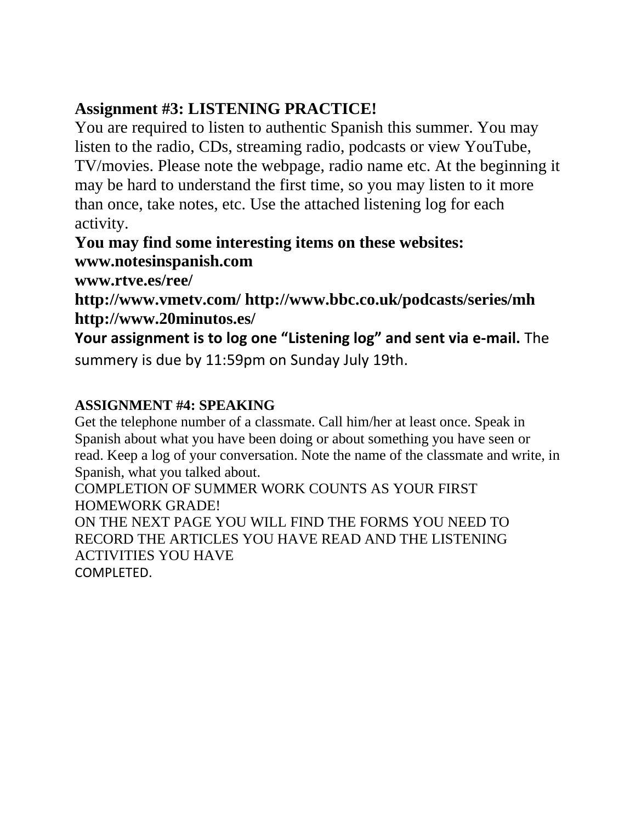## **Assignment #3: LISTENING PRACTICE!**

You are required to listen to authentic Spanish this summer. You may listen to the radio, CDs, streaming radio, podcasts or view YouTube, TV/movies. Please note the webpage, radio name etc. At the beginning it may be hard to understand the first time, so you may listen to it more than once, take notes, etc. Use the attached listening log for each activity.

**You may find some interesting items on these websites: www.notesinspanish.com** 

**www.rtve.es/ree/** 

**http://www.vmetv.com/ http://www.bbc.co.uk/podcasts/series/mh http://www.20minutos.es/** 

**Your assignment is to log one "Listening log" and sent via e-mail.** The summery is due by 11:59pm on Sunday July 19th.

### **ASSIGNMENT #4: SPEAKING**

Get the telephone number of a classmate. Call him/her at least once. Speak in Spanish about what you have been doing or about something you have seen or read. Keep a log of your conversation. Note the name of the classmate and write, in Spanish, what you talked about.

COMPLETION OF SUMMER WORK COUNTS AS YOUR FIRST HOMEWORK GRADE!

ON THE NEXT PAGE YOU WILL FIND THE FORMS YOU NEED TO RECORD THE ARTICLES YOU HAVE READ AND THE LISTENING ACTIVITIES YOU HAVE COMPLETED.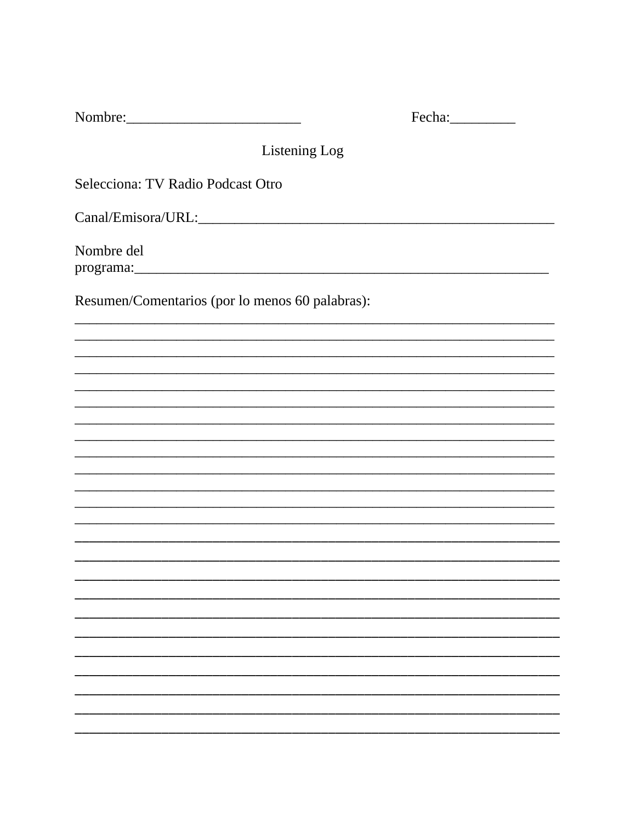| Listening Log                                   |  |
|-------------------------------------------------|--|
| Selecciona: TV Radio Podcast Otro               |  |
|                                                 |  |
| Nombre del                                      |  |
| Resumen/Comentarios (por lo menos 60 palabras): |  |
|                                                 |  |
|                                                 |  |
|                                                 |  |
|                                                 |  |
|                                                 |  |
|                                                 |  |
|                                                 |  |
|                                                 |  |
|                                                 |  |
|                                                 |  |
|                                                 |  |
|                                                 |  |
|                                                 |  |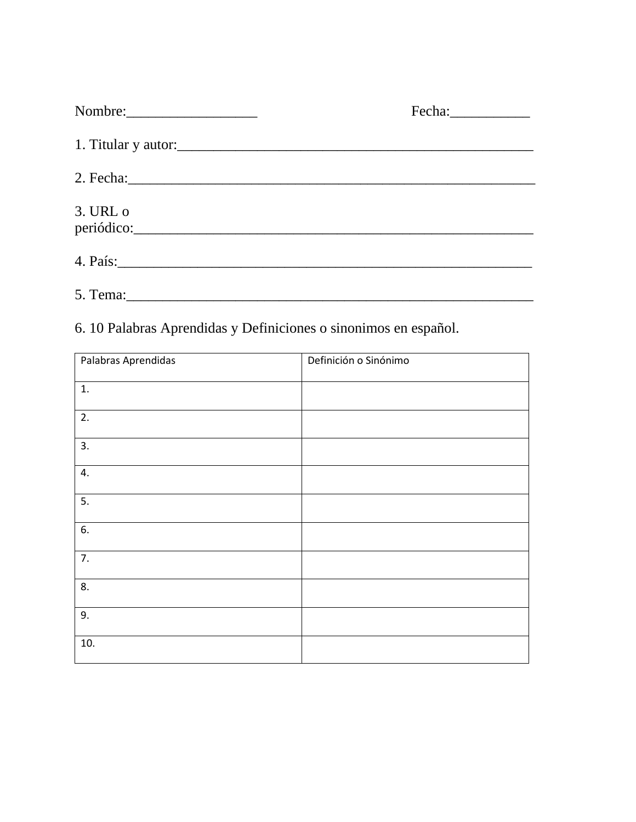| Nombre:      | Fecha: Fechand |
|--------------|----------------|
|              |                |
|              |                |
| $3.$ URL $o$ |                |
|              |                |
|              |                |

6. 10 Palabras Aprendidas y Definiciones o sinonimos en español.

| Palabras Aprendidas | Definición o Sinónimo |
|---------------------|-----------------------|
| 1.                  |                       |
| 2.                  |                       |
| 3.                  |                       |
| 4.                  |                       |
| 5.                  |                       |
| 6.                  |                       |
| 7.                  |                       |
| 8.                  |                       |
| 9.                  |                       |
| 10.                 |                       |